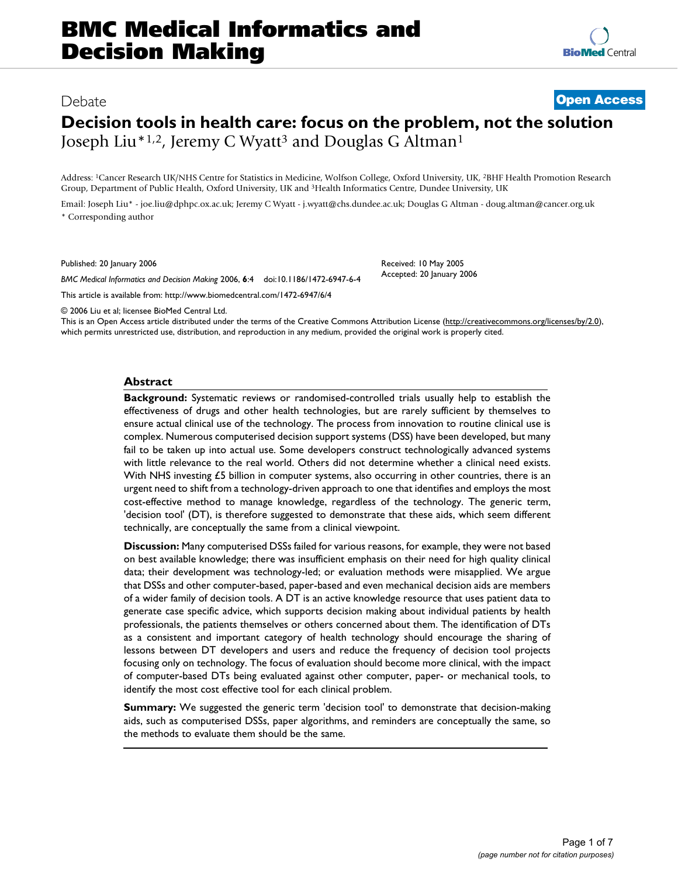# Debate **[Open Access](http://www.biomedcentral.com/info/about/charter/) Decision tools in health care: focus on the problem, not the solution** Joseph Liu<sup>\*1,2</sup>, Jeremy C Wyatt<sup>3</sup> and Douglas G Altman<sup>1</sup>

Address: 1Cancer Research UK/NHS Centre for Statistics in Medicine, Wolfson College, Oxford University, UK, 2BHF Health Promotion Research Group, Department of Public Health, Oxford University, UK and 3Health Informatics Centre, Dundee University, UK

> Received: 10 May 2005 Accepted: 20 January 2006

Email: Joseph Liu\* - joe.liu@dphpc.ox.ac.uk; Jeremy C Wyatt - j.wyatt@chs.dundee.ac.uk; Douglas G Altman - doug.altman@cancer.org.uk \* Corresponding author

Published: 20 January 2006

*BMC Medical Informatics and Decision Making* 2006, **6**:4 doi:10.1186/1472-6947-6-4

[This article is available from: http://www.biomedcentral.com/1472-6947/6/4](http://www.biomedcentral.com/1472-6947/6/4)

© 2006 Liu et al; licensee BioMed Central Ltd.

This is an Open Access article distributed under the terms of the Creative Commons Attribution License [\(http://creativecommons.org/licenses/by/2.0\)](http://creativecommons.org/licenses/by/2.0), which permits unrestricted use, distribution, and reproduction in any medium, provided the original work is properly cited.

### **Abstract**

**Background:** Systematic reviews or randomised-controlled trials usually help to establish the effectiveness of drugs and other health technologies, but are rarely sufficient by themselves to ensure actual clinical use of the technology. The process from innovation to routine clinical use is complex. Numerous computerised decision support systems (DSS) have been developed, but many fail to be taken up into actual use. Some developers construct technologically advanced systems with little relevance to the real world. Others did not determine whether a clinical need exists. With NHS investing £5 billion in computer systems, also occurring in other countries, there is an urgent need to shift from a technology-driven approach to one that identifies and employs the most cost-effective method to manage knowledge, regardless of the technology. The generic term, 'decision tool' (DT), is therefore suggested to demonstrate that these aids, which seem different technically, are conceptually the same from a clinical viewpoint.

**Discussion:** Many computerised DSSs failed for various reasons, for example, they were not based on best available knowledge; there was insufficient emphasis on their need for high quality clinical data; their development was technology-led; or evaluation methods were misapplied. We argue that DSSs and other computer-based, paper-based and even mechanical decision aids are members of a wider family of decision tools. A DT is an active knowledge resource that uses patient data to generate case specific advice, which supports decision making about individual patients by health professionals, the patients themselves or others concerned about them. The identification of DTs as a consistent and important category of health technology should encourage the sharing of lessons between DT developers and users and reduce the frequency of decision tool projects focusing only on technology. The focus of evaluation should become more clinical, with the impact of computer-based DTs being evaluated against other computer, paper- or mechanical tools, to identify the most cost effective tool for each clinical problem.

**Summary:** We suggested the generic term 'decision tool' to demonstrate that decision-making aids, such as computerised DSSs, paper algorithms, and reminders are conceptually the same, so the methods to evaluate them should be the same.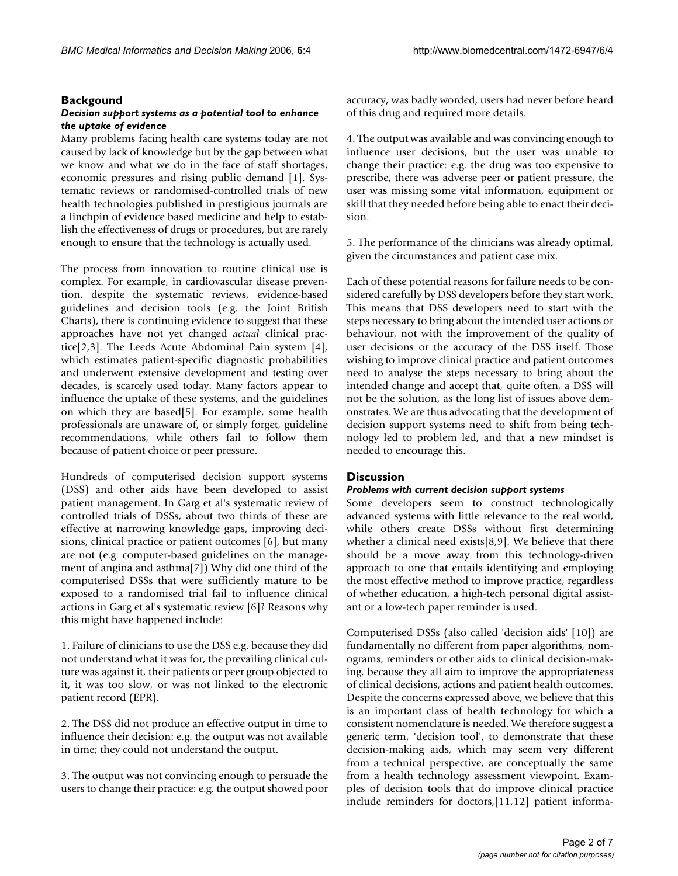### **Backgound**

### *Decision support systems as a potential tool to enhance the uptake of evidence*

Many problems facing health care systems today are not caused by lack of knowledge but by the gap between what we know and what we do in the face of staff shortages, economic pressures and rising public demand [1]. Systematic reviews or randomised-controlled trials of new health technologies published in prestigious journals are a linchpin of evidence based medicine and help to establish the effectiveness of drugs or procedures, but are rarely enough to ensure that the technology is actually used.

The process from innovation to routine clinical use is complex. For example, in cardiovascular disease prevention, despite the systematic reviews, evidence-based guidelines and decision tools (e.g. the Joint British Charts), there is continuing evidence to suggest that these approaches have not yet changed *actual* clinical practice[2,3]. The Leeds Acute Abdominal Pain system [4], which estimates patient-specific diagnostic probabilities and underwent extensive development and testing over decades, is scarcely used today. Many factors appear to influence the uptake of these systems, and the guidelines on which they are based[5]. For example, some health professionals are unaware of, or simply forget, guideline recommendations, while others fail to follow them because of patient choice or peer pressure.

Hundreds of computerised decision support systems (DSS) and other aids have been developed to assist patient management. In Garg et al's systematic review of controlled trials of DSSs, about two thirds of these are effective at narrowing knowledge gaps, improving decisions, clinical practice or patient outcomes [6], but many are not (e.g. computer-based guidelines on the management of angina and asthma[7]) Why did one third of the computerised DSSs that were sufficiently mature to be exposed to a randomised trial fail to influence clinical actions in Garg et al's systematic review [6]? Reasons why this might have happened include:

1. Failure of clinicians to use the DSS e.g. because they did not understand what it was for, the prevailing clinical culture was against it, their patients or peer group objected to it, it was too slow, or was not linked to the electronic patient record (EPR).

2. The DSS did not produce an effective output in time to influence their decision: e.g. the output was not available in time; they could not understand the output.

3. The output was not convincing enough to persuade the users to change their practice: e.g. the output showed poor accuracy, was badly worded, users had never before heard of this drug and required more details.

4. The output was available and was convincing enough to influence user decisions, but the user was unable to change their practice: e.g. the drug was too expensive to prescribe, there was adverse peer or patient pressure, the user was missing some vital information, equipment or skill that they needed before being able to enact their decision.

5. The performance of the clinicians was already optimal, given the circumstances and patient case mix.

Each of these potential reasons for failure needs to be considered carefully by DSS developers before they start work. This means that DSS developers need to start with the steps necessary to bring about the intended user actions or behaviour, not with the improvement of the quality of user decisions or the accuracy of the DSS itself. Those wishing to improve clinical practice and patient outcomes need to analyse the steps necessary to bring about the intended change and accept that, quite often, a DSS will not be the solution, as the long list of issues above demonstrates. We are thus advocating that the development of decision support systems need to shift from being technology led to problem led, and that a new mindset is needed to encourage this.

### **Discussion**

#### *Problems with current decision support systems*

Some developers seem to construct technologically advanced systems with little relevance to the real world, while others create DSSs without first determining whether a clinical need exists[8,9]. We believe that there should be a move away from this technology-driven approach to one that entails identifying and employing the most effective method to improve practice, regardless of whether education, a high-tech personal digital assistant or a low-tech paper reminder is used.

Computerised DSSs (also called 'decision aids' [10]) are fundamentally no different from paper algorithms, nomograms, reminders or other aids to clinical decision-making, because they all aim to improve the appropriateness of clinical decisions, actions and patient health outcomes. Despite the concerns expressed above, we believe that this is an important class of health technology for which a consistent nomenclature is needed. We therefore suggest a generic term, 'decision tool', to demonstrate that these decision-making aids, which may seem very different from a technical perspective, are conceptually the same from a health technology assessment viewpoint. Examples of decision tools that do improve clinical practice include reminders for doctors,[11,12] patient informa-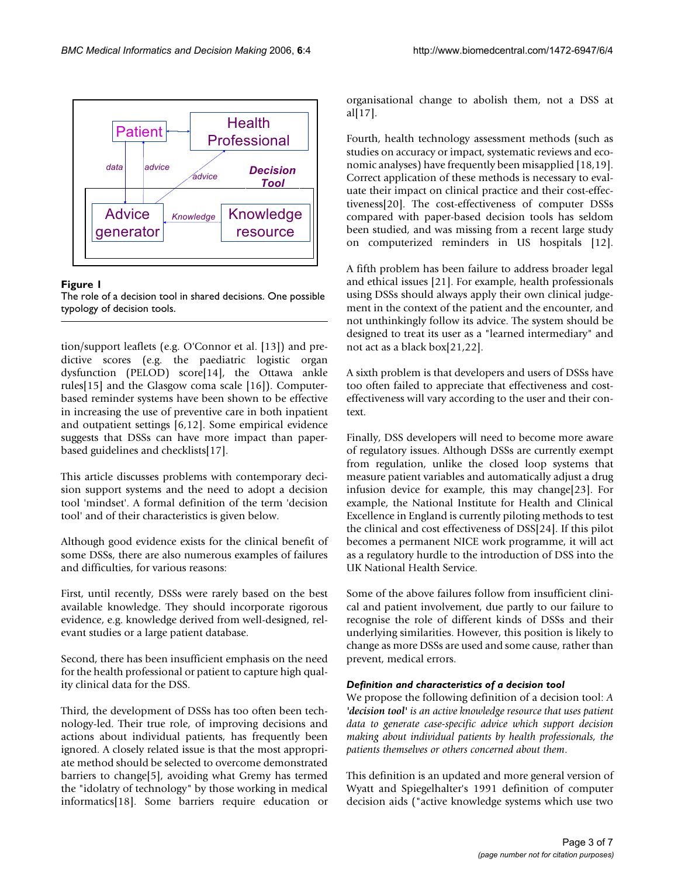

## Figure 1

The role of a decision tool in shared decisions. One possible typology of decision tools.

tion/support leaflets (e.g. O'Connor et al. [13]) and predictive scores (e.g. the paediatric logistic organ dysfunction (PELOD) score[14], the Ottawa ankle rules[15] and the Glasgow coma scale [16]). Computerbased reminder systems have been shown to be effective in increasing the use of preventive care in both inpatient and outpatient settings [6,12]. Some empirical evidence suggests that DSSs can have more impact than paperbased guidelines and checklists[17].

This article discusses problems with contemporary decision support systems and the need to adopt a decision tool 'mindset'. A formal definition of the term 'decision tool' and of their characteristics is given below.

Although good evidence exists for the clinical benefit of some DSSs, there are also numerous examples of failures and difficulties, for various reasons:

First, until recently, DSSs were rarely based on the best available knowledge. They should incorporate rigorous evidence, e.g. knowledge derived from well-designed, relevant studies or a large patient database.

Second, there has been insufficient emphasis on the need for the health professional or patient to capture high quality clinical data for the DSS.

Third, the development of DSSs has too often been technology-led. Their true role, of improving decisions and actions about individual patients, has frequently been ignored. A closely related issue is that the most appropriate method should be selected to overcome demonstrated barriers to change[5], avoiding what Gremy has termed the "idolatry of technology" by those working in medical informatics[18]. Some barriers require education or organisational change to abolish them, not a DSS at al $[17]$ .

Fourth, health technology assessment methods (such as studies on accuracy or impact, systematic reviews and economic analyses) have frequently been misapplied [18,19]. Correct application of these methods is necessary to evaluate their impact on clinical practice and their cost-effectiveness[20]. The cost-effectiveness of computer DSSs compared with paper-based decision tools has seldom been studied, and was missing from a recent large study on computerized reminders in US hospitals [12].

A fifth problem has been failure to address broader legal and ethical issues [21]. For example, health professionals using DSSs should always apply their own clinical judgement in the context of the patient and the encounter, and not unthinkingly follow its advice. The system should be designed to treat its user as a "learned intermediary" and not act as a black box[21,22].

A sixth problem is that developers and users of DSSs have too often failed to appreciate that effectiveness and costeffectiveness will vary according to the user and their context.

Finally, DSS developers will need to become more aware of regulatory issues. Although DSSs are currently exempt from regulation, unlike the closed loop systems that measure patient variables and automatically adjust a drug infusion device for example, this may change[23]. For example, the National Institute for Health and Clinical Excellence in England is currently piloting methods to test the clinical and cost effectiveness of DSS[24]. If this pilot becomes a permanent NICE work programme, it will act as a regulatory hurdle to the introduction of DSS into the UK National Health Service.

Some of the above failures follow from insufficient clinical and patient involvement, due partly to our failure to recognise the role of different kinds of DSSs and their underlying similarities. However, this position is likely to change as more DSSs are used and some cause, rather than prevent, medical errors.

### *Definition and characteristics of a decision tool*

We propose the following definition of a decision tool: *A 'decision tool' is an active knowledge resource that uses patient data to generate case-specific advice which support decision making about individual patients by health professionals, the patients themselves or others concerned about them*.

This definition is an updated and more general version of Wyatt and Spiegelhalter's 1991 definition of computer decision aids ("active knowledge systems which use two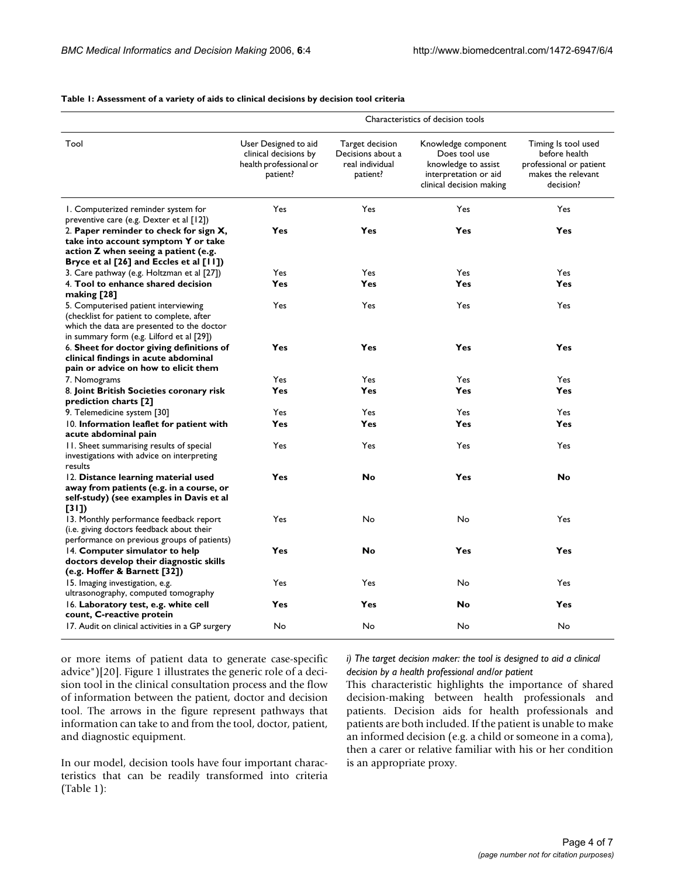|                                                                                                                                                                                                              | Characteristics of decision tools                                                   |                                                                     |                                                                                                                  |                                                                                                    |
|--------------------------------------------------------------------------------------------------------------------------------------------------------------------------------------------------------------|-------------------------------------------------------------------------------------|---------------------------------------------------------------------|------------------------------------------------------------------------------------------------------------------|----------------------------------------------------------------------------------------------------|
| Tool                                                                                                                                                                                                         | User Designed to aid<br>clinical decisions by<br>health professional or<br>patient? | Target decision<br>Decisions about a<br>real individual<br>patient? | Knowledge component<br>Does tool use<br>knowledge to assist<br>interpretation or aid<br>clinical decision making | Timing Is tool used<br>before health<br>professional or patient<br>makes the relevant<br>decision? |
| I. Computerized reminder system for                                                                                                                                                                          | Yes                                                                                 | Yes                                                                 | Yes                                                                                                              | Yes                                                                                                |
| preventive care (e.g. Dexter et al [12])<br>2. Paper reminder to check for sign X,<br>take into account symptom Y or take<br>action Z when seeing a patient (e.g.<br>Bryce et al [26] and Eccles et al [11]) | Yes                                                                                 | Yes                                                                 | Yes                                                                                                              | Yes                                                                                                |
| 3. Care pathway (e.g. Holtzman et al [27])                                                                                                                                                                   | Yes                                                                                 | Yes                                                                 | Yes                                                                                                              | Yes                                                                                                |
| 4. Tool to enhance shared decision<br>making [28]                                                                                                                                                            | Yes                                                                                 | Yes                                                                 | Yes                                                                                                              | Yes                                                                                                |
| 5. Computerised patient interviewing<br>(checklist for patient to complete, after<br>which the data are presented to the doctor<br>in summary form (e.g. Lilford et al [29])                                 | Yes                                                                                 | Yes                                                                 | Yes                                                                                                              | Yes                                                                                                |
| 6. Sheet for doctor giving definitions of<br>clinical findings in acute abdominal<br>pain or advice on how to elicit them                                                                                    | Yes                                                                                 | Yes                                                                 | Yes                                                                                                              | Yes                                                                                                |
| 7. Nomograms                                                                                                                                                                                                 | Yes                                                                                 | Yes                                                                 | Yes                                                                                                              | Yes                                                                                                |
| 8. Joint British Societies coronary risk<br>prediction charts [2]                                                                                                                                            | Yes                                                                                 | Yes                                                                 | Yes                                                                                                              | Yes                                                                                                |
| 9. Telemedicine system [30]                                                                                                                                                                                  | Yes                                                                                 | Yes                                                                 | Yes                                                                                                              | Yes                                                                                                |
| 10. Information leaflet for patient with<br>acute abdominal pain                                                                                                                                             | Yes                                                                                 | Yes                                                                 | Yes                                                                                                              | Yes                                                                                                |
| 11. Sheet summarising results of special<br>investigations with advice on interpreting<br>results                                                                                                            | Yes                                                                                 | Yes                                                                 | Yes                                                                                                              | Yes                                                                                                |
| 12. Distance learning material used<br>away from patients (e.g. in a course, or<br>self-study) (see examples in Davis et al<br>[31]                                                                          | Yes                                                                                 | No                                                                  | Yes                                                                                                              | No                                                                                                 |
| 13. Monthly performance feedback report<br>(i.e. giving doctors feedback about their<br>performance on previous groups of patients)                                                                          | Yes                                                                                 | No                                                                  | No                                                                                                               | Yes                                                                                                |
| 14. Computer simulator to help<br>doctors develop their diagnostic skills<br>(e.g. Hoffer & Barnett [32])                                                                                                    | Yes                                                                                 | No                                                                  | Yes                                                                                                              | Yes                                                                                                |
| 15. Imaging investigation, e.g.<br>ultrasonography, computed tomography                                                                                                                                      | Yes                                                                                 | Yes                                                                 | No                                                                                                               | Yes                                                                                                |
| 16. Laboratory test, e.g. white cell<br>count, C-reactive protein                                                                                                                                            | Yes                                                                                 | Yes                                                                 | No                                                                                                               | Yes                                                                                                |
| 17. Audit on clinical activities in a GP surgery                                                                                                                                                             | No                                                                                  | No                                                                  | No                                                                                                               | No                                                                                                 |

**Table 1: Assessment of a variety of aids to clinical decisions by decision tool criteria**

or more items of patient data to generate case-specific advice")[20]. Figure 1 illustrates the generic role of a decision tool in the clinical consultation process and the flow of information between the patient, doctor and decision tool. The arrows in the figure represent pathways that information can take to and from the tool, doctor, patient, and diagnostic equipment.

In our model, decision tools have four important characteristics that can be readily transformed into criteria (Table 1):

*i) The target decision maker: the tool is designed to aid a clinical decision by a health professional and/or patient*

This characteristic highlights the importance of shared decision-making between health professionals and patients. Decision aids for health professionals and patients are both included. If the patient is unable to make an informed decision (e.g. a child or someone in a coma), then a carer or relative familiar with his or her condition is an appropriate proxy.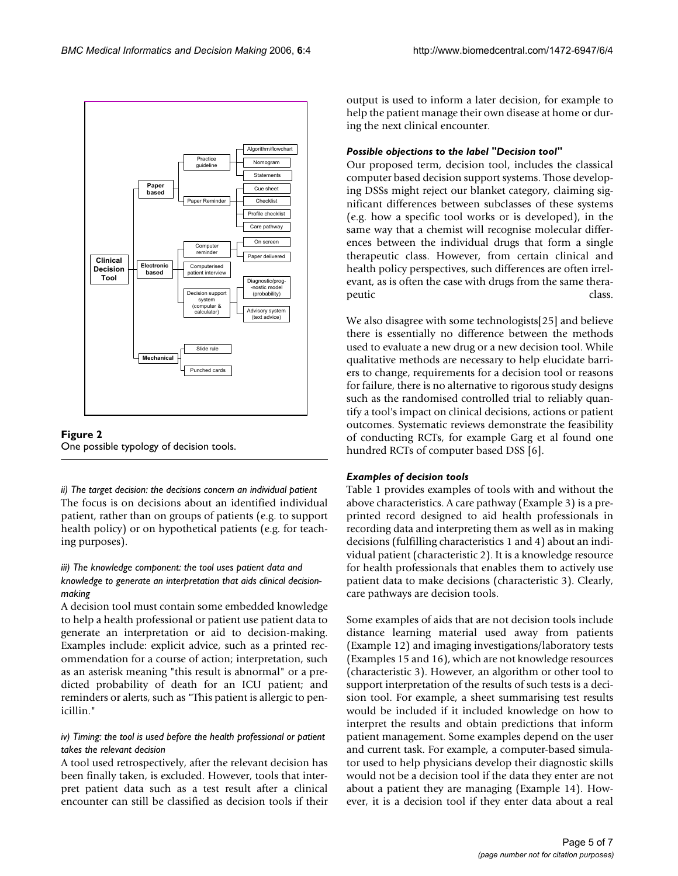



*ii) The target decision: the decisions concern an individual patient* The focus is on decisions about an identified individual patient, rather than on groups of patients (e.g. to support health policy) or on hypothetical patients (e.g. for teaching purposes).

# *iii) The knowledge component: the tool uses patient data and knowledge to generate an interpretation that aids clinical decisionmaking*

A decision tool must contain some embedded knowledge to help a health professional or patient use patient data to generate an interpretation or aid to decision-making. Examples include: explicit advice, such as a printed recommendation for a course of action; interpretation, such as an asterisk meaning "this result is abnormal" or a predicted probability of death for an ICU patient; and reminders or alerts, such as "This patient is allergic to penicillin."

# *iv*) Timing: the tool is used before the health professional or patient *takes the relevant decision*

A tool used retrospectively, after the relevant decision has been finally taken, is excluded. However, tools that interpret patient data such as a test result after a clinical encounter can still be classified as decision tools if their output is used to inform a later decision, for example to help the patient manage their own disease at home or during the next clinical encounter.

# *Possible objections to the label "Decision tool"*

Our proposed term, decision tool, includes the classical computer based decision support systems. Those developing DSSs might reject our blanket category, claiming significant differences between subclasses of these systems (e.g. how a specific tool works or is developed), in the same way that a chemist will recognise molecular differences between the individual drugs that form a single therapeutic class. However, from certain clinical and health policy perspectives, such differences are often irrelevant, as is often the case with drugs from the same therapeutic class.

We also disagree with some technologists[25] and believe there is essentially no difference between the methods used to evaluate a new drug or a new decision tool. While qualitative methods are necessary to help elucidate barriers to change, requirements for a decision tool or reasons for failure, there is no alternative to rigorous study designs such as the randomised controlled trial to reliably quantify a tool's impact on clinical decisions, actions or patient outcomes. Systematic reviews demonstrate the feasibility of conducting RCTs, for example Garg et al found one hundred RCTs of computer based DSS [6].

# *Examples of decision tools*

Table 1 provides examples of tools with and without the above characteristics. A care pathway (Example 3) is a preprinted record designed to aid health professionals in recording data and interpreting them as well as in making decisions (fulfilling characteristics 1 and 4) about an individual patient (characteristic 2). It is a knowledge resource for health professionals that enables them to actively use patient data to make decisions (characteristic 3). Clearly, care pathways are decision tools.

Some examples of aids that are not decision tools include distance learning material used away from patients (Example 12) and imaging investigations/laboratory tests (Examples 15 and 16), which are not knowledge resources (characteristic 3). However, an algorithm or other tool to support interpretation of the results of such tests is a decision tool. For example, a sheet summarising test results would be included if it included knowledge on how to interpret the results and obtain predictions that inform patient management. Some examples depend on the user and current task. For example, a computer-based simulator used to help physicians develop their diagnostic skills would not be a decision tool if the data they enter are not about a patient they are managing (Example 14). However, it is a decision tool if they enter data about a real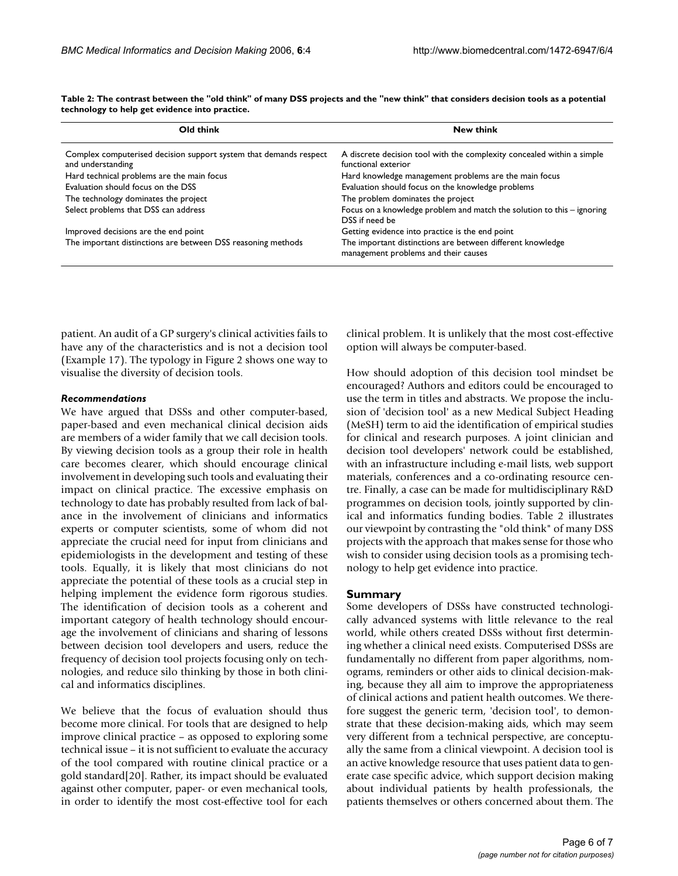**Table 2: The contrast between the "old think" of many DSS projects and the "new think" that considers decision tools as a potential technology to help get evidence into practice.**

| Old think                                                                              | <b>New think</b>                                                                                   |  |  |
|----------------------------------------------------------------------------------------|----------------------------------------------------------------------------------------------------|--|--|
| Complex computerised decision support system that demands respect<br>and understanding | A discrete decision tool with the complexity concealed within a simple<br>functional exterior      |  |  |
| Hard technical problems are the main focus                                             | Hard knowledge management problems are the main focus                                              |  |  |
| Evaluation should focus on the DSS                                                     | Evaluation should focus on the knowledge problems                                                  |  |  |
| The technology dominates the project                                                   | The problem dominates the project                                                                  |  |  |
| Select problems that DSS can address                                                   | Focus on a knowledge problem and match the solution to this – ignoring<br>DSS if need be           |  |  |
| Improved decisions are the end point                                                   | Getting evidence into practice is the end point                                                    |  |  |
| The important distinctions are between DSS reasoning methods                           | The important distinctions are between different knowledge<br>management problems and their causes |  |  |

patient. An audit of a GP surgery's clinical activities fails to have any of the characteristics and is not a decision tool (Example 17). The typology in Figure 2 shows one way to visualise the diversity of decision tools.

#### *Recommendations*

We have argued that DSSs and other computer-based, paper-based and even mechanical clinical decision aids are members of a wider family that we call decision tools. By viewing decision tools as a group their role in health care becomes clearer, which should encourage clinical involvement in developing such tools and evaluating their impact on clinical practice. The excessive emphasis on technology to date has probably resulted from lack of balance in the involvement of clinicians and informatics experts or computer scientists, some of whom did not appreciate the crucial need for input from clinicians and epidemiologists in the development and testing of these tools. Equally, it is likely that most clinicians do not appreciate the potential of these tools as a crucial step in helping implement the evidence form rigorous studies. The identification of decision tools as a coherent and important category of health technology should encourage the involvement of clinicians and sharing of lessons between decision tool developers and users, reduce the frequency of decision tool projects focusing only on technologies, and reduce silo thinking by those in both clinical and informatics disciplines.

We believe that the focus of evaluation should thus become more clinical. For tools that are designed to help improve clinical practice – as opposed to exploring some technical issue – it is not sufficient to evaluate the accuracy of the tool compared with routine clinical practice or a gold standard[20]. Rather, its impact should be evaluated against other computer, paper- or even mechanical tools, in order to identify the most cost-effective tool for each clinical problem. It is unlikely that the most cost-effective option will always be computer-based.

How should adoption of this decision tool mindset be encouraged? Authors and editors could be encouraged to use the term in titles and abstracts. We propose the inclusion of 'decision tool' as a new Medical Subject Heading (MeSH) term to aid the identification of empirical studies for clinical and research purposes. A joint clinician and decision tool developers' network could be established, with an infrastructure including e-mail lists, web support materials, conferences and a co-ordinating resource centre. Finally, a case can be made for multidisciplinary R&D programmes on decision tools, jointly supported by clinical and informatics funding bodies. Table 2 illustrates our viewpoint by contrasting the "old think" of many DSS projects with the approach that makes sense for those who wish to consider using decision tools as a promising technology to help get evidence into practice.

### **Summary**

Some developers of DSSs have constructed technologically advanced systems with little relevance to the real world, while others created DSSs without first determining whether a clinical need exists. Computerised DSSs are fundamentally no different from paper algorithms, nomograms, reminders or other aids to clinical decision-making, because they all aim to improve the appropriateness of clinical actions and patient health outcomes. We therefore suggest the generic term, 'decision tool', to demonstrate that these decision-making aids, which may seem very different from a technical perspective, are conceptually the same from a clinical viewpoint. A decision tool is an active knowledge resource that uses patient data to generate case specific advice, which support decision making about individual patients by health professionals, the patients themselves or others concerned about them. The